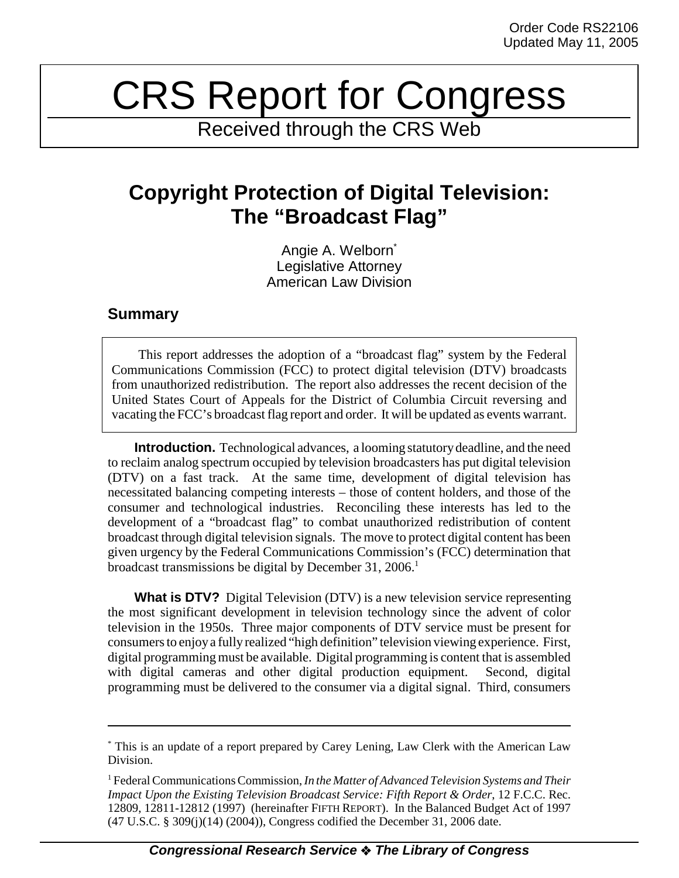## CRS Report for Congress

Received through the CRS Web

## **Copyright Protection of Digital Television: The "Broadcast Flag"**

Angie A. Welborn<sup>\*</sup> Legislative Attorney American Law Division

## **Summary**

This report addresses the adoption of a "broadcast flag" system by the Federal Communications Commission (FCC) to protect digital television (DTV) broadcasts from unauthorized redistribution. The report also addresses the recent decision of the United States Court of Appeals for the District of Columbia Circuit reversing and vacating the FCC's broadcast flag report and order. It will be updated as events warrant.

**Introduction.** Technological advances, a looming statutory deadline, and the need to reclaim analog spectrum occupied by television broadcasters has put digital television (DTV) on a fast track. At the same time, development of digital television has necessitated balancing competing interests – those of content holders, and those of the consumer and technological industries. Reconciling these interests has led to the development of a "broadcast flag" to combat unauthorized redistribution of content broadcast through digital television signals. The move to protect digital content has been given urgency by the Federal Communications Commission's (FCC) determination that broadcast transmissions be digital by December 31, 2006.<sup>1</sup>

**What is DTV?** Digital Television (DTV) is a new television service representing the most significant development in television technology since the advent of color television in the 1950s. Three major components of DTV service must be present for consumers to enjoy a fully realized "high definition" television viewing experience. First, digital programming must be available. Digital programming is content that is assembled with digital cameras and other digital production equipment. Second, digital programming must be delivered to the consumer via a digital signal. Third, consumers

<sup>\*</sup> This is an update of a report prepared by Carey Lening, Law Clerk with the American Law Division.

<sup>1</sup> Federal Communications Commission, *In the Matter of Advanced Television Systems and Their Impact Upon the Existing Television Broadcast Service: Fifth Report & Order*, 12 F.C.C. Rec. 12809, 12811-12812 (1997) (hereinafter FIFTH REPORT). In the Balanced Budget Act of 1997 (47 U.S.C. § 309(j)(14) (2004)), Congress codified the December 31, 2006 date.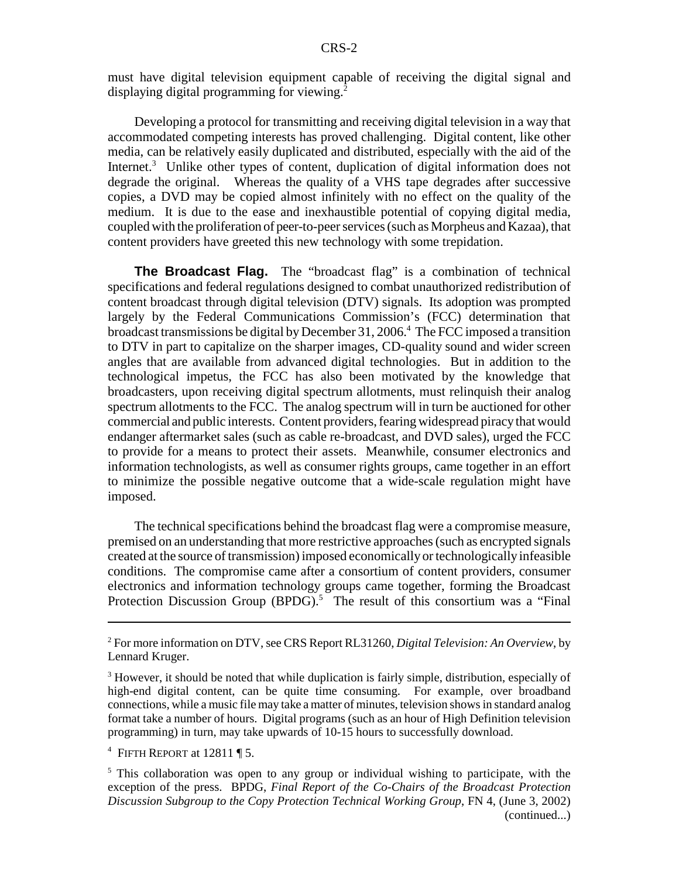must have digital television equipment capable of receiving the digital signal and displaying digital programming for viewing.<sup>2</sup>

Developing a protocol for transmitting and receiving digital television in a way that accommodated competing interests has proved challenging. Digital content, like other media, can be relatively easily duplicated and distributed, especially with the aid of the Internet.<sup>3</sup> Unlike other types of content, duplication of digital information does not degrade the original. Whereas the quality of a VHS tape degrades after successive copies, a DVD may be copied almost infinitely with no effect on the quality of the medium. It is due to the ease and inexhaustible potential of copying digital media, coupled with the proliferation of peer-to-peer services (such as Morpheus and Kazaa), that content providers have greeted this new technology with some trepidation.

**The Broadcast Flag.** The "broadcast flag" is a combination of technical specifications and federal regulations designed to combat unauthorized redistribution of content broadcast through digital television (DTV) signals. Its adoption was prompted largely by the Federal Communications Commission's (FCC) determination that broadcast transmissions be digital by December 31, 2006.<sup>4</sup> The FCC imposed a transition to DTV in part to capitalize on the sharper images, CD-quality sound and wider screen angles that are available from advanced digital technologies. But in addition to the technological impetus, the FCC has also been motivated by the knowledge that broadcasters, upon receiving digital spectrum allotments, must relinquish their analog spectrum allotments to the FCC. The analog spectrum will in turn be auctioned for other commercial and public interests. Content providers, fearing widespread piracy that would endanger aftermarket sales (such as cable re-broadcast, and DVD sales), urged the FCC to provide for a means to protect their assets. Meanwhile, consumer electronics and information technologists, as well as consumer rights groups, came together in an effort to minimize the possible negative outcome that a wide-scale regulation might have imposed.

The technical specifications behind the broadcast flag were a compromise measure, premised on an understanding that more restrictive approaches (such as encrypted signals created at the source of transmission) imposed economically or technologically infeasible conditions. The compromise came after a consortium of content providers, consumer electronics and information technology groups came together, forming the Broadcast Protection Discussion Group (BPDG).<sup>5</sup> The result of this consortium was a "Final

<sup>2</sup> For more information on DTV, see CRS Report RL31260, *Digital Television: An Overview*, by Lennard Kruger.

<sup>&</sup>lt;sup>3</sup> However, it should be noted that while duplication is fairly simple, distribution, especially of high-end digital content, can be quite time consuming. For example, over broadband connections, while a music file may take a matter of minutes, television shows in standard analog format take a number of hours. Digital programs (such as an hour of High Definition television programming) in turn, may take upwards of 10-15 hours to successfully download.

<sup>&</sup>lt;sup>4</sup> FIFTH REPORT at  $12811 \text{ }\P 5$ .

<sup>&</sup>lt;sup>5</sup> This collaboration was open to any group or individual wishing to participate, with the exception of the press. BPDG, *Final Report of the Co-Chairs of the Broadcast Protection Discussion Subgroup to the Copy Protection Technical Working Group*, FN 4, (June 3, 2002) (continued...)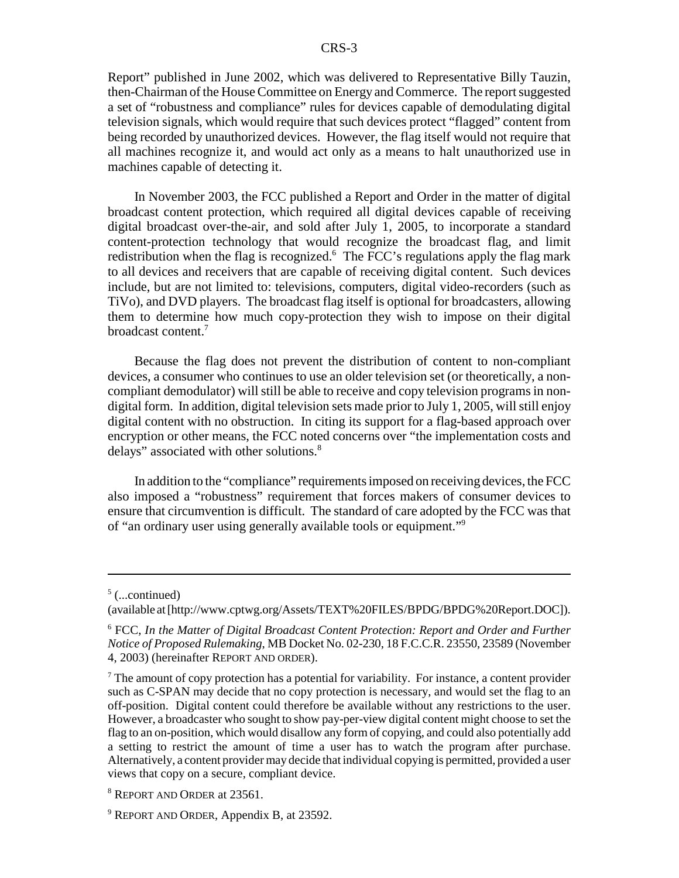Report" published in June 2002, which was delivered to Representative Billy Tauzin, then-Chairman of the House Committee on Energy and Commerce. The report suggested a set of "robustness and compliance" rules for devices capable of demodulating digital television signals, which would require that such devices protect "flagged" content from being recorded by unauthorized devices. However, the flag itself would not require that all machines recognize it, and would act only as a means to halt unauthorized use in machines capable of detecting it.

In November 2003, the FCC published a Report and Order in the matter of digital broadcast content protection, which required all digital devices capable of receiving digital broadcast over-the-air, and sold after July 1, 2005, to incorporate a standard content-protection technology that would recognize the broadcast flag, and limit redistribution when the flag is recognized.<sup>6</sup> The FCC's regulations apply the flag mark to all devices and receivers that are capable of receiving digital content. Such devices include, but are not limited to: televisions, computers, digital video-recorders (such as TiVo), and DVD players. The broadcast flag itself is optional for broadcasters, allowing them to determine how much copy-protection they wish to impose on their digital broadcast content.7

Because the flag does not prevent the distribution of content to non-compliant devices, a consumer who continues to use an older television set (or theoretically, a noncompliant demodulator) will still be able to receive and copy television programs in nondigital form. In addition, digital television sets made prior to July 1, 2005, will still enjoy digital content with no obstruction. In citing its support for a flag-based approach over encryption or other means, the FCC noted concerns over "the implementation costs and delays" associated with other solutions.<sup>8</sup>

In addition to the "compliance" requirements imposed on receiving devices, the FCC also imposed a "robustness" requirement that forces makers of consumer devices to ensure that circumvention is difficult. The standard of care adopted by the FCC was that of "an ordinary user using generally available tools or equipment."9

 $<sup>5</sup>$  (...continued)</sup>

<sup>(</sup>available at [http://www.cptwg.org/Assets/TEXT%20FILES/BPDG/BPDG%20Report.DOC]).

<sup>6</sup> FCC, *In the Matter of Digital Broadcast Content Protection: Report and Order and Further Notice of Proposed Rulemaking*, MB Docket No. 02-230, 18 F.C.C.R. 23550, 23589 (November 4, 2003) (hereinafter REPORT AND ORDER).

 $<sup>7</sup>$  The amount of copy protection has a potential for variability. For instance, a content provider</sup> such as C-SPAN may decide that no copy protection is necessary, and would set the flag to an off-position. Digital content could therefore be available without any restrictions to the user. However, a broadcaster who sought to show pay-per-view digital content might choose to set the flag to an on-position, which would disallow any form of copying, and could also potentially add a setting to restrict the amount of time a user has to watch the program after purchase. Alternatively, a content provider may decide that individual copying is permitted, provided a user views that copy on a secure, compliant device.

<sup>8</sup> REPORT AND ORDER at 23561.

<sup>&</sup>lt;sup>9</sup> REPORT AND ORDER, Appendix B, at 23592.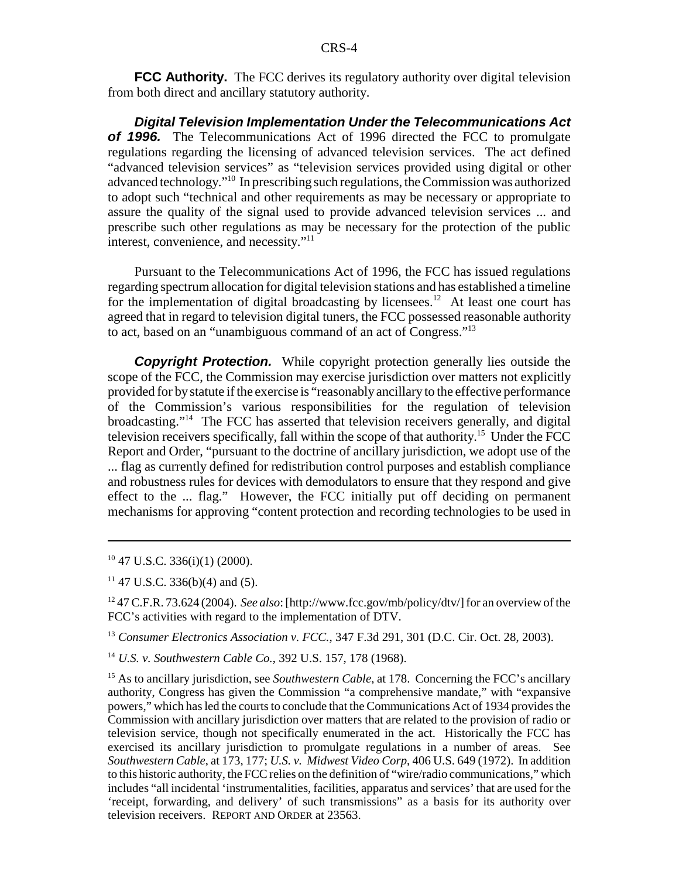**FCC Authority.** The FCC derives its regulatory authority over digital television from both direct and ancillary statutory authority.

*Digital Television Implementation Under the Telecommunications Act of 1996.* The Telecommunications Act of 1996 directed the FCC to promulgate regulations regarding the licensing of advanced television services. The act defined "advanced television services" as "television services provided using digital or other advanced technology."10 In prescribing such regulations, the Commission was authorized to adopt such "technical and other requirements as may be necessary or appropriate to assure the quality of the signal used to provide advanced television services ... and prescribe such other regulations as may be necessary for the protection of the public interest, convenience, and necessity."11

Pursuant to the Telecommunications Act of 1996, the FCC has issued regulations regarding spectrum allocation for digital television stations and has established a timeline for the implementation of digital broadcasting by licensees.<sup>12</sup> At least one court has agreed that in regard to television digital tuners, the FCC possessed reasonable authority to act, based on an "unambiguous command of an act of Congress."13

**Copyright Protection.** While copyright protection generally lies outside the scope of the FCC, the Commission may exercise jurisdiction over matters not explicitly provided for by statute if the exercise is "reasonably ancillary to the effective performance of the Commission's various responsibilities for the regulation of television broadcasting."14 The FCC has asserted that television receivers generally, and digital television receivers specifically, fall within the scope of that authority.15 Under the FCC Report and Order, "pursuant to the doctrine of ancillary jurisdiction, we adopt use of the ... flag as currently defined for redistribution control purposes and establish compliance and robustness rules for devices with demodulators to ensure that they respond and give effect to the ... flag." However, the FCC initially put off deciding on permanent mechanisms for approving "content protection and recording technologies to be used in

 $10$  47 U.S.C. 336(i)(1) (2000).

 $11$  47 U.S.C. 336(b)(4) and (5).

12 47 C.F.R. 73.624 (2004). *See also*: [http://www.fcc.gov/mb/policy/dtv/] for an overview of the FCC's activities with regard to the implementation of DTV.

<sup>13</sup> *Consumer Electronics Association v. FCC.*, 347 F.3d 291, 301 (D.C. Cir. Oct. 28, 2003).

<sup>14</sup> *U.S. v. Southwestern Cable Co.*, 392 U.S. 157, 178 (1968).

<sup>15</sup> As to ancillary jurisdiction, see *Southwestern Cable*, at 178. Concerning the FCC's ancillary authority, Congress has given the Commission "a comprehensive mandate," with "expansive powers," which has led the courts to conclude that the Communications Act of 1934 provides the Commission with ancillary jurisdiction over matters that are related to the provision of radio or television service, though not specifically enumerated in the act. Historically the FCC has exercised its ancillary jurisdiction to promulgate regulations in a number of areas. See *Southwestern Cable*, at 173, 177; *U.S. v. Midwest Video Corp*, 406 U.S. 649 (1972). In addition to this historic authority, the FCC relies on the definition of "wire/radio communications," which includes "all incidental 'instrumentalities, facilities, apparatus and services' that are used for the 'receipt, forwarding, and delivery' of such transmissions" as a basis for its authority over television receivers. REPORT AND ORDER at 23563.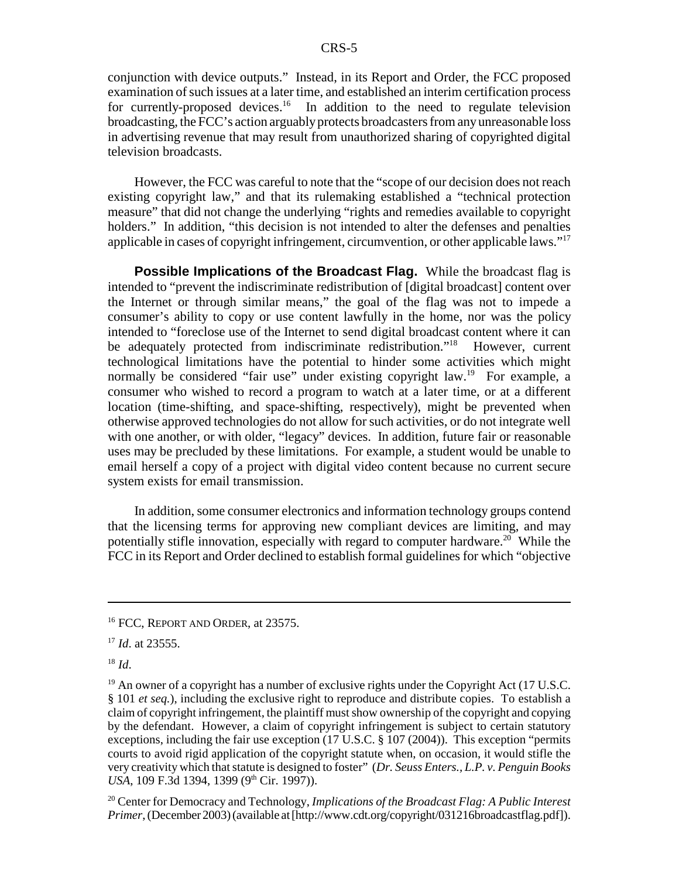conjunction with device outputs." Instead, in its Report and Order, the FCC proposed examination of such issues at a later time, and established an interim certification process for currently-proposed devices.<sup>16</sup> In addition to the need to regulate television broadcasting, the FCC's action arguably protects broadcasters from any unreasonable loss in advertising revenue that may result from unauthorized sharing of copyrighted digital television broadcasts.

However, the FCC was careful to note that the "scope of our decision does not reach existing copyright law," and that its rulemaking established a "technical protection measure" that did not change the underlying "rights and remedies available to copyright holders." In addition, "this decision is not intended to alter the defenses and penalties applicable in cases of copyright infringement, circumvention, or other applicable laws."17

**Possible Implications of the Broadcast Flag.** While the broadcast flag is intended to "prevent the indiscriminate redistribution of [digital broadcast] content over the Internet or through similar means," the goal of the flag was not to impede a consumer's ability to copy or use content lawfully in the home, nor was the policy intended to "foreclose use of the Internet to send digital broadcast content where it can be adequately protected from indiscriminate redistribution."<sup>18</sup> However, current technological limitations have the potential to hinder some activities which might normally be considered "fair use" under existing copyright law.<sup>19</sup> For example, a consumer who wished to record a program to watch at a later time, or at a different location (time-shifting, and space-shifting, respectively), might be prevented when otherwise approved technologies do not allow for such activities, or do not integrate well with one another, or with older, "legacy" devices. In addition, future fair or reasonable uses may be precluded by these limitations. For example, a student would be unable to email herself a copy of a project with digital video content because no current secure system exists for email transmission.

In addition, some consumer electronics and information technology groups contend that the licensing terms for approving new compliant devices are limiting, and may potentially stifle innovation, especially with regard to computer hardware.20 While the FCC in its Report and Order declined to establish formal guidelines for which "objective

20 Center for Democracy and Technology, *Implications of the Broadcast Flag: A Public Interest Primer*, (December 2003) (available at [http://www.cdt.org/copyright/031216broadcastflag.pdf]).

<sup>&</sup>lt;sup>16</sup> FCC, REPORT AND ORDER, at 23575.

<sup>17</sup> *Id*. at 23555.

<sup>18</sup> *Id*.

<sup>&</sup>lt;sup>19</sup> An owner of a copyright has a number of exclusive rights under the Copyright Act (17 U.S.C. § 101 *et seq.*), including the exclusive right to reproduce and distribute copies. To establish a claim of copyright infringement, the plaintiff must show ownership of the copyright and copying by the defendant. However, a claim of copyright infringement is subject to certain statutory exceptions, including the fair use exception (17 U.S.C. § 107 (2004)). This exception "permits courts to avoid rigid application of the copyright statute when, on occasion, it would stifle the very creativity which that statute is designed to foster" (*Dr. Seuss Enters., L.P. v. Penguin Books USA*, 109 F.3d 1394, 1399 (9<sup>th</sup> Cir. 1997)).